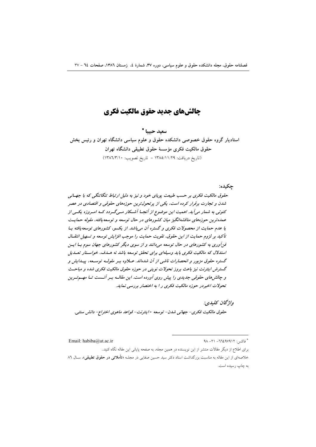### چالشھای جدید حقوق مالکیت فکری

سعيد حسا \* استادیار گروه حقوق خصوصی دانشکده حقوق و علوم سیاسی دانشگاه تهران و رئیس بخش حقوق مالكيت فكرى مؤسسة حقوق تطبيقي دانشگاه تهران (تاريخ دريافت: ١٣٨٥/١١/٢٩ - تاريخ تصويب: ١٣٨٦/٣/١٠)

حكىدە:

حقوق مالکیت فکری بر حسب طبیعت پویای خود و نیز به دلیل ارتباط تنگاتنگی که با جهـانی شدن و تجارت برقرار کرده است، یکی از پرتحول ترین حوزههای حقوقی و اقتصادی در عصر کنونی به شمار میآید. اهمیت این موضوع از آنجـا آشـکار مـی گـردد کـه امـروزه یکـی از عمده ترین حوزههای مناقشهانگیز میان کشورهای در حال توسعه و توسعه یافته، مقوله حمایت یا عدم حمایت از محصولات فکری و گستره آن میباشد. از یکسو، کشورهای توسعه یافته بـا تأكيد بر لزوم حمايت از اين حقوق، تقويت حمايت را موجب افزايش توسعه و تسهيل انتقبال فن آوری به کشورهای در حال توسعه میدانند و از سوی دیگر کشورهای جهان سوم بــا ایــن استدلال که مالکیت فکری باید وسیلهای برای تحقق توسعه باشد نه هسدف، خواستار تعسدیل گستره حقوق مزبور و انحصارات ناشی از آن شدهاند. عبلاوه بسر مقولسه توسیعه، پیسدایش و گسترش اینترنت نیز باعث بروز تحولات نوینی در حوزه حقوق مالکیت فکری شده و مباحث و چالش های حقوقی جدیدی را پیش روی آورده است. این مقالسه بسر آنسست تسا مهسم تسرین تحولات اخيردر حوزه مالكيت فكرى را به اختصار بررسي نمايد.

واژگان كليدي. حقوق مالكيت فكري- جهاني شدن- توسعه -اينترنت- قواعد ماهوى اختراع- دانش سنتي.

 $4\lambda - 11 - 7724V411$ : خاکسن

Email: habiba@ut.ac.ir

برای اطلاع از دیگر مقالات منتشر از این نویسنده در همین مجله، به صفحه پایانی این مقاله نگاه کنید.. خلاصهای از این مقاله به مناسبت بزرگداشت استاد دکتر سید حسین صفایی در مجلـه «**تأملاتی در حقوق تطبیقی**»، سـال ۸٦ به چاپ رسیده است.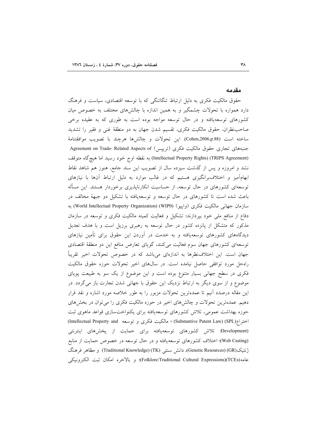#### مقدمه

حقوق مالکیت فکری به دلیل ارتباط تنگاتنگی که با توسعه اقتصادی، سیاست و فرهنگ دارد همواره با تحولات چشمگیر و به همین اندازه با چالشهای مختلف به خصوص میان کشورهای توسعهیافته و در حال توسعه مواجه بوده است به طوری که به عقیده برخی صاحب:نظران، حقوق مالکیت فکری، تقسیم شدن جهان به دو منطقهٔ غنی و فقیر را تشدید ساخته است (Cohen,2006,p.88). اين تحولات و چالشها هرچند با تصويب موافقتنامهٔ جنبههای تجاری حقوق مالکیت فکری (ترییس) Agreement on Trade- Related Aspects of (Intellectual Property Rights) (TRIPS Agreement) به نقطه اوج خود رسيد اما هيچگاه متوقف نشد و امروزه و پس از گذشت سیزده سال از تصویب این سند جامع، هنوز هم شاهد نقاط ابهامآمیز و اختلاف برانگیزی هستیم که در غالب موارد به دلیل ارتباط آنها با نیازهای توسعهای کشورهای در حال توسعه، از حساسیت انکارناپذیری برخوردار هستند. این مسأله باعث شده است تا کشورهای در حال توسعه و توسعهیافته با تشکیل دو جبههٔ مخالف در سازمان جهانی مالکیت فکری (واپیو) (World Intellectual Property Organization) به دفاع از منافع ملي خود بيردازند؛ تشكيل و فعاليت كميته مالكيت فكرى و توسعه در سازمان مذکور که متشکل از پانزده کشور در حال توسعه به رهبری برزیل است و با هدف تعدیل دیدگاههای کشورهای توسعهیافته و به خدمت در آوردن این حقوق برای تأمین نیازهای توسعهای کشورهای جهان سوم فعالیت میکنند، گویای تعارض منافع این دو منطقهٔ اقتصادی جهان است. این اختلاف:نظرها به اندازهای میباشد که در خصوص تحولات اخیر تقریباً راه حل مورد توافقی حاصل نیامده است. در سالهای اخیر تحولات حوزه حقوق مالکیت فکری در سطح جهانی بسیار متنوع بوده است و این موضوع از یک سو به طبیعت پویای موضوع و از سوی دیگر به ارتباط نزدیک این حقوق با جهانی شدن تجارت باز میگردد. در این مقاله درصدد آنیم تا عمدهترین تحولات مزبور را به طور خلاصه مورد اشاره و نقد قرار دهیم. عمدهترین تحولات و چالشهای اخیر در حوزه مالکیت فکری را می توان در بخشهای حوزه بهداشت عمومی، تلاش کشورهای توسعهیافته برای یکنواختسازی قواعد ماهوی ثبت اختراع(Substantive Patent Law) (SPL) ؛ مالكيت فكرى و توسعه (Intellectual Property and (Development؛ تلاش کشورهای توسعهیافته برای حمایت از پخشهای اینترنتی (Web Casting)؛ اختلاف کشورهای توسعه یافته و در حال توسعه در خصوص حمایت از منابع ژنتیک(GR)(Genetic Resources)، دانش سنتبی (TK)(Traditional Knowledge) و مظاهر فرهنگ عامه(Folklore/Traditional Cultural Expressions)(TCEs)؛ و بالاخره امكان ثبت الكترونيكي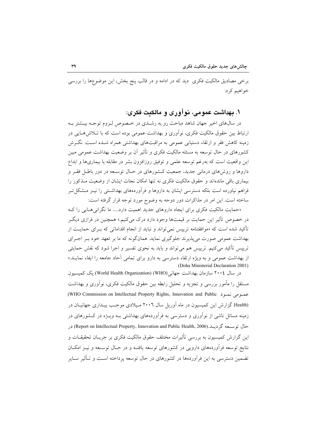برخی مصادیق مالکیت فکری ً دید که در ادامه و در قالب پنج بخش، این موضوعها را بررسی خواهيم کړد:

### ۱. بهداشت عمومی، نوآوری و مالکیت فکری:

در سال@ای اخیر جهان شاهد مباحث رو به رشـدی در خـصوص لـزوم توجـه بیــشتر بــه ارتباط بین حقوق مالکیت فکری، نوآوری و بهداشت عمومی بوده است که با تــلاش۵مــایی در زمینه کاهش فقر و ارتقاء دستیابی عمومی به مراقبتهای بهداشتی همراه شـده اسـت. نگــرش کشورهای در حال توسعه به مسئله مالکیت فکری و تأثیر آن بر وضعیت بهداشت عمومی مبین این واقعیت است که بهرغم توسعه علمی و توفیق روزافزون بشر در مقابله با بیماریها و ابداع داروها و روش های درمانی جدید، جمعیت کـشورهای در حـال توسـعه در دور باطـل فقـر و بیماری باقی ماندهاند و حقوق مالکیت فکری نه تنها امکان نجات ایشان از وضعیت مـذکور را فراهم نیاورده است بلکه دسترسی ایشان به داروها و فرآوردههای بهداشـتی را نیــز مــشکل تــر ساخته است. این امر در مذاکرات دور دوحه به وضوح مورد توجه قرار گرفته است:

«حمایت مالکیت فکری برای ایجاد داروهای جدید اهمیت دارد..... ما نگرانی هایی را ک در خصوص تأثیر این حمایت بر قیمتها وجود دارد درک میکنیم.» همچنین در فرازی دیگـر تأکید شده است که «موافقتنامه ترییس نمی تواند و نباید از انجام اقدامات<sub>ی</sub> که بــرای حمایــت از بهداشت عمومی صورت می پذیرند جلوگیری نماید. همانگونه که ما بر تعهد خود بـر اجـرای ترییس تأکید می کنیم. ترییس هم می تواند و باید به نحوی تفسیر و اجرا شود که نقش حمایتی از بهداشت عمومی و به ویژه ارتقاء دسترسی به دارو برای تمامی آحاد جامعه را ایفاء نمایـد.» (Doha Ministerial Declaration 2001)

در سال ۲۰۰٤ سازمان بهداشت جهانی(WHO) (Werld Health Organization) یک کمیسیون مستقل را مأمور بررسی و تجزیه و تحلیل رابطه بین حقوق مالکیت فکری، نوأوری و بهداشت عصومی نصود (WHO Commission on Intellectual Property Rights, Innovation and Public) Health) گزارش این کمیسیون در ماه آوریل سال ۲۰۰٦ میلادی موجب بیداری جهانیان در زمینه مسائل ناشی از نوآوری و دسترسی به فرآوردههای بهداشتی بـه ویـژه در کـشورهای در حال توسعه گردیــد.(Report on Intellectual Property, Innovation and Public Health, 2006) در این گزارش کمیسیون به بررسی تأثیرات مختلف حقوق مالکیت فکری بر جریـان تحقیقــات و نتایج توسعه فرآوردههای دارویی در کشورهای توسعه یافتـه و در حـال توسـعه و نیــز امکــان تضمین دسترسی به این فرآوردهها در کشورهای در حال توسعه پرداخته اسـت و تـأثیر سـایر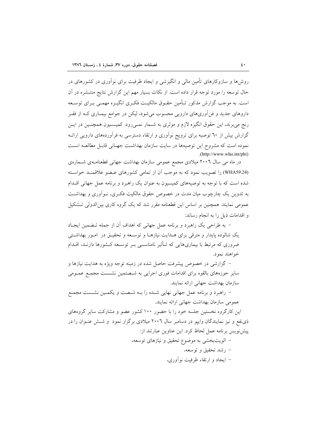روش ها و سازوکارهای تأمین مالی و انگیزشی و ایجاد ظرفیت برای نوآوری در کشورهای در حال توسعه را مورد توجه قرار داده است. از نکات بسیار مهم این گزارش نتایج منتــشره در آن است. به موجب گزارش مذکور تـأمین حقـوق مالکیـت فکـری انگیـزه مهمـی بـرای توسـعه داروهای جدید و فنآوریهای دارویی محسوب می شود، لیکن در جوامع بیمباری کبه از فقیر رنج می برند، این حقوق انگیزه لازم و موثری به شــمار نمــی(ود. کمیـسیون همچنــین در ایــن گزارش بیش از ٦٠ توصیه برای ترویج نوآوری و ارتقاء دسترسی به فرآوردههای دارویی ارائـه نموده است که مشروح این توصیهها در سایت سازمان بهداشت جهـانی قابـل مطالعـه اسـت  $. (http://www.who.int/phi)$ 

در ماه می سال ۲۰۰٦ میلادی مجمع عمومی سازمان بهداشت جهانی قطعنامـهی شـمارهی (WHA59.24) را تصویب نمود که به موجب آن از تمامی کشورهای عـضو علاقمنـد خواسـته شده است که با توجه به توصیههای کمیسیون به عنوان یک راهبرد و برنامه عمل جهانی اقــدام به تدوین یک چارچوب میان مدت در خصوص حقوق مالکیت فکری، نـواَوری و بهداشـت عمومی نمایند. همچنین بر اساس این قطعنامه مقرر شد که یک گروه کاری بین الدولی تـشکیل و اقدامات ذیل را به انجام رساند:

– به طراحی یک راهبرد و برنامه عمل جهانی که اهداف آن از جمله تـضمین ایجـاد یک شالوده پایدار و مترقی برای هـدایت نیازهـا و توسـعه و تحقیـق در امـور بهداشـتی ضروری که مرتبط با بیماریهایی که تـأثیر نامناسـبی بـر توسـعه کـشورها دارنـد، اقــدام خواهند نمود.

– گزارشی در خصوص پیشرفت حاصل شده در زمینه توجه ویژه به هدایت نیازها و سایر حوزههای بالقوه برای اقدامات فوری اجرایی به شـصتمین نشـست مجمـع عمـومی سازمان بهداشت جهاني ارائه نمايند.

– راهبرد و برنامه عمل جهانی نهایی شـده را بـه شـصت و یکمـین نشـست مجمـع عمومی سازمان بهداشت جهانی ارائه نمایند.

این کارگروه نخستین جلسه خود را با حضور ۱۰۰ کشور عضو و مشارکت سایر گروههای ذی نفع و نیز نمایندگان وایپو در دسامبر سال ۲۰۰٦ میلادی برگزار نمود و شش عنوان را در پیشنویس برنامه عمل لحاظ کرد. این عناوین عبارتند از:

> – الويت بخشي به موضوع تحقيق و نيازهاي توسعه، – رشد تحقیق و توسعه، – ایجاد و ارتقاء ظرفیت نوآوری،

 $\mathbf{L}$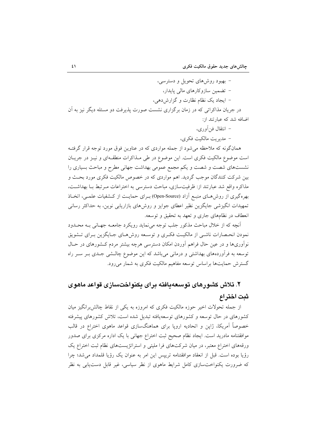- بهبود روشهای تحویل و دسترسی، – تضمین سازوکارهای مالی پایدار، - ایجاد یک نظام نظارت و گزارش دهی، در جریان مذاکراتی که در زمان برگزاری نشست صورت پذیرفت دو مسئله دیگر نیز به آن اضافه شد که عبارتند از:

– انتقال فن أورى،

– مدېريت مالکيت فکري،

همانگونه که ملاحظه می شود از جمله مواردی که در عناوین فوق مورد توجه قرار گرفتـه است موضوع مالکیت فکری است. این موضوع در طی مـذاکرات منطقـهای و نیـز در جریـان نشستهای شصت و شصت و یکم مجمع عمومی بهداشت جهانی مطرح و مباحث بسیاری را بین شرکت کنندگان موجب گردید. اهم مواردی که در خصوص مالکیت فکری مورد بحـث و مذاکره واقع شد عبارتند از: ظرفیتسازی، مباحث دسترسی به اختراعات مـرتبط بـا بهداشـت، بهرهگیری از روشهای منبع آزاد (Open-Source) بـرای حمایـت از کـشفیات علمـی، اتخـاذ تمهیدات انگیزشی جایگزین نظیر اعطای جوایز و روش های بازاریابی نوین، به حداکثر رسانی انعطاف در نظامهای جاری و تعهد به تحقیق و توسعه.

آنچه که از خلال مباحث مذکور جلب توجه می نماید رویکرد جامعــه جهــانی بــه محــدود نمودن انحـصارات ناشــي از مالكيـت فكـرى و توسـعه روش٥هـاي جـايگزين بـراي تــشويق نوآوریها و در عین حال فراهم آوردن امکان دسترسی هرچه بیشتر مردم کـشورهای در حـال توسعه به فرآوردههای بهداشتی و درمانی میباشد که این موضوع چالـشی جـدی بـر سـر راه گسترش حمایتها براساس توسعه مفاهیم مالکیت فکری به شمار میرود.

# ۲. تلاش کشورهای توسعهپافته برای یکنواختسازی قواعد ماهوی ثىت اختراع

از جمله تحولات اخیر حوزه مالکیت فکری که امروزه به یکی از نقاط چالش برانگیز میان کشورهای در حال توسعه و کشورهای توسعهپافته تبدیل شده است، تلاش کشورهای پیشرفته خصوصاً آمریکا، ژاپن و اتحادیه اروپا برای هماهنگسازی قواعد ماهوی اختراع در قالب موافقتنامه مادرید است. ایجاد نظام صحیح ثبت اختراع جهانی با یک اداره مرکزی برای صدور ورقههای اختراع معتبر، در میان شرکتهای فرا ملیتی و استراتژیستهای نظام ثبت اختراع یک رؤيا بوده است. قبل از انعقاد موافقتنامه تريپس اين امر به عنوان يک رؤيا قلمداد مي شد؛ چرا که ضرورت یکنواختسازی کامل شرایط ماهوی از نظر سیاسی، غیر قابل دست،یابی به نظر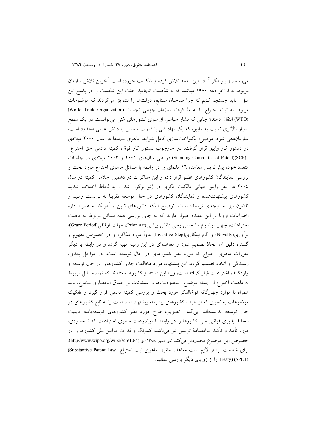میرسید. وایپو مکرراً در این زمینه تلاش کرده و شکست خورده است. آخرین تلاش سازمان مربوط به اواخر دهه ۱۹۸۰ میباشد که به شکست انجامید. علت این شکست را در یاسخ این سؤال باید جستجو کنیم که چرا صاحبان صنایع، دولتها را تشویق می کردند که موضوعات مربوط به ثبت اختراع را به مذاكرات سازمان جهانى تجارت (World Trade Organization) (WTO) انتقال دهند؟ جایی که فشار سیاسی از سوی کشورهای غنی میتوانست در یک سطح بسیار بالاتری نسبت به وایپو، که یک نهاد فنی با قدرت سیاسی یا دانش عملی محدود است، سازماندهی شود. موضوع یکنواختسازی کامل شرایط ماهوی مجددا در سال ۲۰۰۰ میلادی در دستور کار واییو قرار گرفت. در چارچوب دستور کار فوق، کمیته دائمی حق اختراع (Standing Committee of Patent)(SCP) در طی سال های ۲۰۰۱ و ۲۰۰۳ میلادی در جلسات متعدد خود، پیش نویس معاهده ۱۲ مادهای را در رابطه با مسائل ماهوی اختراع مورد بحث و بررسی نمایندگان کشورهای عضو قرار داده و این مذاکرات در دهمین اجلاس کمیته در سال ۲۰۰٤ در مقر وايپو جهاني مالكيت فكرى در ژنو برگزار شد و به لحاظ اختلاف شديد کشورهای پیشنهاددهنده و نمایندگان کشورهای در حال توسعه تقریباً به بن بست رسید و تاکنون نیز به نتیجهای نرسیده است. توضیح اینکه کشورهای ژاپن و آمریکا به همراه اداره اختراعات اروپا بر این عقیده اصرار دارند که به جای بررسی همه مسائل مربوط به ماهیت اختراعات، چهار موضوع مشخص يعني دانش پيشين(Prior Art)، مهلت ارفاقي(Grace Period)، نوآوری(Novelty) و گام ابتکاری(Inventive Step) بدواً مورد مذاکره و در خصوص مفهوم و گستره دقیق آن اتخاذ تصمیم شود و معاهدهای در این زمینه تهیه گردد و در رابطه با دیگر مقررات ماهوی اختراع که مورد نظر کشورهای در حال توسعه است، در مراحل بعدی، رسیدگی و اتخاذ تصمیم گردد. این پیشنهاد، مورد مخالفت جدی کشورهای در حال توسعه و واردکننده اختراعات قرار گرفته است؛ زیرا این دسته از کشورها معتقدند که تمام مسائل مربوط به ماهیت اختراع از جمله موضوع ً محدودیتها و استثنائات بر حقوق انحصاری مخترع، باید همراه با موارد چهارگانه فوقالذکر مورد بحث و بررسی کمیته دائمی قرار گیرد و تفکیک موضوعات به نحوی که از طرف کشورهای پیشرفته پیشنهاد شده است را به نفع کشورهای در حال توسعه ندانستهاند. بی گمان تصویب طرح مورد نظر کشورهای توسعهیافته قابلیت انعطاف پذیری قوانین ملی کشورها را در رابطه با موضوعات ماهوی اختراعات که تا حدودی، مورد تأیید و تأکید موافقتنامهٔ تریپس نیز میباشد، کمرنگ و قدرت قوانین ملی کشورها را در خصوص این موضوع محدودتر میکند (میرحسینی،۱۳۸۵) و (http//www.wipo.org/wipo/scp/10/5). براي شناخت بيشتر لازم است معاهده حقوق ماهوي ثبت اختراع Substantive Patent Law) (SPLT) reaty) را از زوایای دیگر بررسی نمائیم.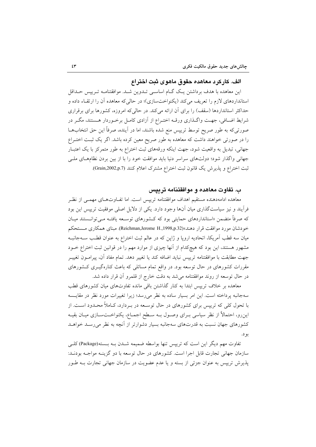#### الف. کار کر د معاهده حقوق ماهو ی ثبت اختر اع

این معاهده با هدف برداشتن یک گـام اساسـی تـدوین شـد. موافقتنامـه تـریپس حـداقل استانداردهای لازم را تعریف میکند (یکنواختسازی)؛ در حالیکه معاهده آن را ارتقاء داده و حداکثر استانداردها (سقف) را برای آن ارائه میکند. در حالیکه امروزه، کشورها برای برقراری شرایط اضـافی، جهـت واگـذاری ورقـه اختـراع از آزادی کامـل برخـوردار هـستند، مگـر در صورتیکه به طور صریح توسط تریپس منع شده باشند، اما در آینده، صرفاً این حق انتخابهــا را در صورتی خواهند داشت که معاهده به طور صریح معین کرده باشد. اگر یک ثبت اختـراع جهانی، تبدیل به واقعیت شود، جهت اینکه ورقههای ثبت اختراع به طور متمرکز با یک اعتبـار جهانی واگذار شود؛ دولتهای سراسر دنیا باید موافقت خود را با از بین بردن نظامهـای ملـی ثبت اختراع و پذیرش یک قانون ثبت اختراع مشترک اعلام کنند (Grain,2002,p.7).

#### ب. تفاوت معاهده و موافقتنامه ترییس

معاهده ادامهدهنده مستقيم اهداف موافقتنامه تريبس است. اما تفــاوتهــاى مهمــى از نظــر فرآیند و نیز سیاستگذاری میان آنها وجود دارد. یکی از دلایل اصلی موفقیت ترییس این بود که صرفاً متضمن «استانداردهای حمایتی بود که کـشورهای توسـعه یافتـه مـیتوانــستند میـان خودشان مورد موافقت قرار دهند»(Reichman,Jerome H.,1998,p.32). مبنای همکاری مستحکم میان سه قطب اَمریکا، اتحادیه اروپا و ژاپن که در عالم ثبت اختراع به عنوان قطب سـهجانبـه مشهور هستند، این بود که هیچکدام از آنها چیزی از موارد مهم را در قوانین ثبت اختراع خــود جهت مطابقت با موافقتنامه تريبس نبايد اضافه كند يا تغيير دهد. تمام مفاد آن، پيرامـون تغييـر مقررات کشورهای در حال توسعه بود. در واقع تمام مسائلی که باعث کنارهگیــری کــشورهای در حال توسعه از روند موافقتنامه می شد به دقت خارج از قلمرو آن قرار داده شد.

معاهده بر خلاف تریپس ابتدا به کنار گذاشتن باقی مانده تفاوتهای میان کشورهای قطب سهجانبه پرداخته است. این امر بسیار ساده به نظر می رسد؛ زیرا تغییرات مورد نظر در مقایسه با تحول کلی که ترییس برای کشورهای در حال توسیعه در پیردارد، کیاملاً محیدود است. از این٫و، احتمالاً از نظر سیاسی بـرای وصـول بـه سـطح اجمـاع، یکنواخـتسـازی میـان بقیـه کشورهای جهان نسبت به قدرتهای سهجانبه بسیار دشوارتر از آنچه به نظر می رسـد خواهـد بو د.

تفاوت مهم دیگر این است که ترییس تنها بواسطه ضمیمه شـدن بـه بـسته(Package) کلـی سازمان جهانی تجارت قابل اجرا است. کشورهای در حال توسعه با دو گزینـه مواجـه بودنـد: یذیرش ترییس به عنوان جزئی از بسته و یا عدم عضویت در سازمان جهانی تجارت بــه طــور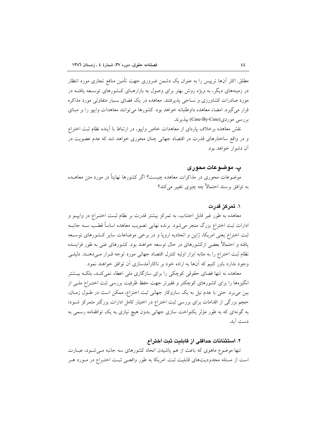مطلق. اکثر آنها ترییس را به عنوان یک دشمن ضروری جهت تأمین منافع تجاری مورد انتظار در زمینههای دیگر، به ویژه روش بهتر برای وصول به بازارهـای کـشورهای توسـعه یافتــه در مورد صادرات کشاورزی و نساجی پذیرفتند. معاهده در یک فضای بسیار متفاوتی مورد مذاکره قرار میگیرد. امضاء معاهده داوطلبانه خواهد بود. کشورها می توانند معاهدات وایپو را بر مبنای بررسي موردي(Case-By-Case) بيذيرند.

نقش معاهده برخلاف پارهای از معاهدات خاص وایبو، در ارتباط با آینده نظام ثبت اختراع و در واقع ساختارهای قدرت در اقتصاد جهانی چنان محوری خواهد شد که عدم عضویت در آن دشوار خواهد بود.

#### پ. موضوعات محوری

موضوعات محوری در مذاکرات معاهده چیست؟ اگر کشورها نهایتاً در مورد متن معاهــده به توافق برسند احتمالاً چه چیزی تغییر می کند؟

#### ۱. تمرکز قدرت

معاهده به طور غیر قابل اجتناب، به تمرکز بیشتر قدرت بر نظام ثبت اختـراع در وایپــو و ادارات ثبت اختراع بزرگ منجر میشود. برنده نهایی تصویب معاهده اساساً قطـب ســه جانبــه ثبت اختراع یعنی امریکا، ژاپن و اتحادیه اروپا و در برخی موضاعات سایر کـشورهای توسـعه یافته و احتمالاً بعضی ازکشورهای در حال توسعه خواهند بود. کشورهای غنی به طور فزاینــده نظام ثبت اختراع را به مثابه ابزار اولیه کنترل اقتصاد جهانی مورد توجه قـرار مـیcهنـد. دلیلـی وجود ندارد باور کنیم که آنها به اراده خود بر ناکارآمدسازی آن توافق خواهند نمود.

معاهده نه تنها فضای حقوقی کوچکی را برای سازگاری ملی اعطاء نمی کنـد، بلکـه بیــشتر انگیزهها را برای کشورهای کوچکتر و فقیرتر جهت حفظ ظرفیت بررسی ثبت اختـراع ملـی از بین می برد. حتی با عدم نیل به یک سازوکار جهانی ثبت اختراع، ممکن است در طـول زمـان، حجم بزرگی از اقدامات برای بررسی ثبت اختراع در اختیار کامل ادارات بزرگتر متمرکز شـود؛ به گونهای که به طور مؤثر یکنواخت سازی جهانی بدون هیچ نیازی به یک توافقنامه رسمی به دست آيد.

#### ٢. استثنائات حداقلي از قابليت ثبت اختراع

تنها موضوع ماهوی که باعث از هم پاشیدن اتحاد کشورهای سه جانبه مـیشـود، عبـارت است از مسئله محدودیتهای قابلیت ثبت. امریکا به طور واقعـی ثبـت اختـراع در مـورد هـر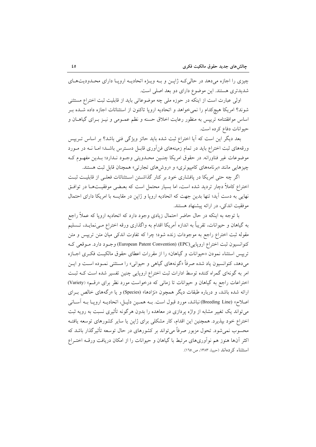چیزی را اجازه میدهد در حالی که ژاپس و بـه ویـژه اتحادیـه اروپـا دارای محـدودیتهـای شدیدتری هستند. این موضوع دارای دو بعد اصلی است.

اولی عبارت است از اینکه در حوزه ملی چه موضوعاتی باید از قابلیت ثبت اختراع مستثنی شوند؟ امریکا هیچکدام را نمیخواهد و اتحادیه اروپا تاکنون از استثنائات اجازه داده شـده بـر اساس موافقتنامه تریپس به منظور رعایت اخلاق حسنه و نظم عمـومی و نیـز بـرای گیاهـان و حيوانات دفاع كرده است.

بعد دیگر این است که آیا اختراع ثبت شده باید حائز ویژگی فنی باشد؟ بر اساس تـرییس ورقههای ثبت اختراع باید در تمام زمینههای فنآوری قابـل دسـترس باشـد؛ امـا نــه در مــورد موضوعات غير فناورانه. در حقوق امريكا چنـين محـدويتي وجـود نـدارد؛ بـدين مفهـوم كـه چیزهایی مانند «برنامههای کامپیوتری» و «روشهای تجارتی» همچنان قابل ثبت هستند.

اگر چه حتی امریکا در یافشاری خود بر کنار گذاشتن استثنائات فعلی از قابلیت ثبت اختراع کاملاً دچار تردید شده است، اما بسیار محتمل است که بعـضی موفقیــتهــا در توافــق نهایی به دست آید؛ تنها بدین جهت که اتحادیه اروپا و ژاپن در مقایسه با امریکا دارای احتمال موفقیت اندکی، در ارائه پیشنهاد هستند.

با توجه به اینکه در حال حاضر احتمال زیادی وجود دارد که اتحادیه اروپا که عملاً راجع به گیاهان و حیوانات، تقریباً به اندازه اَمریکا اقدام به واگذاری ورقه اختراع مـیiمایـد، تــسلیم مقوله ثبت اختراع راجع به موجودات زنده شود؛ چرا که تفاوت اندکی میان متن ترییس و متن كنوانسيون ثبت اختراع ارويايي (European Patent Convention) (EPC) وجـود دارد. مـوقعي كـه تریپس استثناء نمودن «حیوانات و گیاهان» را از مقررات اعطای حقوق مالکیت فکری اجبازه میدهد، کنوانسیون یاد شده صرفاً «گونههای گیاه<sub>ی</sub> و حیوانی» را مستثنی نمـوده اسـت و ایــن امر به گونهای گمراه کننده توسط ادارات ثبت اختراع اروپایی چنین تفسیر شده است کـه ثبـت اختراعات راجع به گیاهان و حیوانات تا زمانی که درخواست مورد نظر برای «رقم» (Variety) ارائه شده باشد، و درباره طبقات دیگر همچون «نژادها» (Species) و یا «رگههای خالص بـرای اصلاح» (Breeding Line)نباشد، مورد قبول است. بـه همـين دليـل، اتحاديـه ارويـا بـه أسـاني می تواند یک تغییر مشابه از واژه پردازی در معاهده را بدون هرگونه تأثیری نسبت به رویه ثبت اختراع خود بپذیرد. همچنین این اقدام، کار مشکلی برای ژاپن یا سایر کشورهای توسعه یافتـه محسوب نمی شود. تحول مزبور صرفاً می تواند بر کشورهای در حال توسعه تأثیرگذار باشد که اکثر آنها هنوز هم نوآوریهای مرتبط با گیاهان و حیوانات را از امکان دریافت ورف اختـراع استثناء کر دہاند (حبیبا، ١٣٨٣، ص١٦٥).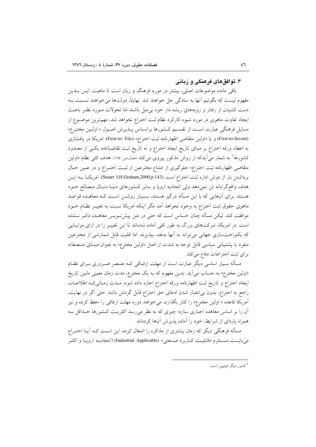#### ۳. توافق های فرهنگی و زیانی

باقی مانده موضوعات اصلی، بیشتر در مورد فرهنگ و زبان است تا ماهیت. ایــن بــدین مفهوم نیست که بگوئیم آنها به سادگی حل خواهند شد. نهایتاً، دولتها می خواهند نــسبت بــه دست کشیدن از رفتار و رویههای ریشه دار خود بی میل باشند اما تحولات مـورد نظـر باعـث ایجاد تفاوت ماهوی در مورد شیوه کارکرد نظام ثبت اختراع نخواهد شد. مهمترین موضـوع از مسایل فرهنگی عبارت اسـت از تقـسیم کـشورها براسـاس پــذیرش اصــول « اولــین مختــرع» (First-to-Invent) و يا «اولين متقاضى اظهارنامه ثبت اختراع» (First-to- File). امريكا در يافشارى به اعطاء ورقه اختراع بر مبناى تاريخ ايجاد اختراع و نه تاريخ ثبت تقاضـانامه يكـي از معــدود کشورها<sup>\</sup> به شمار می]یدکه از روش مذکور پیروی میکند (ممان*،ص ١٥٤). هدف کلی* نظام «اولین متقاضی اظهارنامه ثبت اختراع» جلوگیری از امتناع مخترعین از ثبت اختـراع و در عـین حـال برداشتن بار از دوش اداره ثبت اختراع است (Stuart J.H.Graham,2000,p.143). امریکا بــه ایــن هدف واقع گرایانه تن نمیدهد ولی اتحادیه اروپا و سایر کشورهای دنیـا دنبـال مـصالح خـود هستند. برای آنهایی که با این مسأله درگیر هستند، بـسیار روشـن اسـت کـه معاهـده قواعـد ماهوی حقوق ثبت اختراع به وجود نخواهد آمد مگر اینکه امریکا نسبت به تغییـر نظـام خــود موافقت کند. لیکن مسأله چنان حساس است که حتی در متن پیش سویس معاهــده ذکــر نـــشده است. در امریکا، شرکتهای بزرگ به طور کلی آماده شدهاند تا این تغییـر را در ازای مزایـایی که یکنواختسازی جهانی می تواند به آنها بدهد، بیذیرند. اما اقلیت قابل شمارشی از مخترعین منفرد با پشتیبانی سیاسی قابل توجه به شدت از اصل «اولین مخترع» به عنوان مبنـای منـصفانه برای ثبت اختراعات دفاع می کند.

مسأله بسیار اساسی دیگر عبارت است از مهلت ارفــاقی کــه عنــصر ضــروری بــرای نظــام «اولین مخترع» به حساب می آید. بدین مفهوم که به یک مخترع، مدت زمان معینی مابین تاریخ ايجاد اختراع و تاريخ ثبت اظهارنامه ورقه اختراع اجازه داده شود، مـدت زمـاني كـه اطلاعـات راجع به اختراع، بدون بی|عتبار شدن ادعای حق اختراع قابل گردش باشد. حتی اگر در نهایت، آمریکا قاعده « اولین مخترع» را کنار بگذارد، می خواهد دوره مهلت ارفاقی را حفظ کرده و نیز آن را بر اساس معاهده اجباری سازد؛ چیزی که به نظر می رسد اکثریت کشورها حـداقل بـه همراه یارهای از شرایط، خود را آماده پذیرش آنها کردهاند.

مسأله فرهنگی دیگر که زمان بیشتری از مذاکره را اشغال کرده، این اسـت کـه آیــا اختــراع مي بايست مـستلزم «قابليـت كــاربرد صــنعتي» (Industrial Applicable) (اتحاديــه ارويــا و اكثــر

ر<br>کشور دیگر فیلیپین است.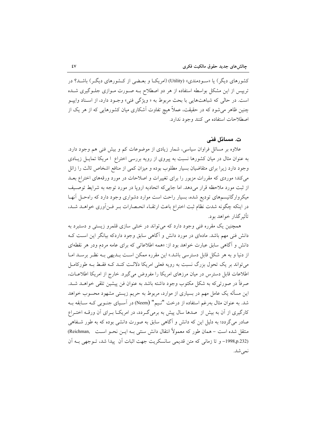کشورهای دیگر) یا «سـودمندی» (Utility) (امریکــا و بعــضی از کــشورهای دیگــر) باشــد؟ در تریپس از این مشکل بواسطه استفاده از هر دو اصطلاح بـه صـورت مـوازی جلـوگیری شـده است. در حالي كه شباهتهايي با بحث مربوط به « ويژگي فني» وجـود دارد، از اسـناد وايپـو چنین ظاهر میشود که در حقیقت، عملاً هیچ تفاوت اَشکاری میان کشورهایی که از هر یک از اصطلاحات استفاده می کنند وجود ندارد.

#### ت. مسائل فنی

علاوه بر مسائل فراوان سیاسی، شمار زیادی از موضوعات کم و بیش فنی هم وجود دارد. به عنوان مثال در میان کشورها نسبت به پیروی از رویه بررسی اختراع ا مریکا تمایـل زیـادی وجود دارد زیرا برای متقاضیان بسیار مطلوب بوده و میزان کمی از منافع اشخاص ثالث را زائل می کند؛ موردی که مقررات مزبور را برای تغییرات و اصلاحات در مورد ورقههای اختراع بعــد از ثبت مورد ملاحظه قرار مى دهد. اما جايى كه اتحاديه ارويا در مورد توجه به شرايط توصيف میکروارگانیسمهای تودیع شده، بسیار راحت است موارد دشواری وجود دارد که راهحـل آنهـا در اینکه چگونه شدت نظام ثبت اختراع باعث ارتقـاء انحـصارات بـر فـن آوري خواهــد شــد، تأثیر گذار خواهد بود.

همچنین یک مقرره فنی وجود دارد که میتواند در خنثی سازی قلمرو زیستی و دستبرد به دانش فنی مهم باشد. مادهای در مورد دانش و آگاهی سابق وجود داردکه بیانگر این است ک دانش و آگاهی سابق عبارت خواهد بود از: «همه اطلاعاتی که برای عامه مردم ودر هر نقطهای از دنیا و به هر شکل قابل دسترسی باشد.» این مقرره ممکن است بــدیهی بــه نظــر برســد امــا می تواند بر یک تحول بزرگ نسبت به رویه فعلی امریکا دلالـت کنـد کـه فقـط بـه طورکامـل اطلاعات قابل دسترس در میان مرزهای امریکا را مفروض می گیرد. خارج از امریکا اطلاعات، صرفاً در صورتی که به شکل مکتوب وجود داشته باشد به عنوان فن پیشین تلقی خواهــد شــد. این مسأله یک عامل مهم در بسیاری از موارد، مربوط به حریم زیستی مشهود محسوب خواهد شد. به عنوان مثال بهرغم استفاده از درخت "نيم" (Neem) در آسـياي جنـوبي كـه سـابقه بـه کارگیری از آن به بیش از صدها سال پیش به برمیگردد، در امریکـا بـرای آن ورقـه اختـراع صادر می گردد؛ به دلیل این که دانش و آگاهی سابق به صورت دانشی بوده که به طور شـفاهی منتقل شده است – همان طور که معمولاً انتقال دانش سنتی بـه ایــن نحــو اســت ,Reichman) (1998,p.232– و تا زمانی که متن قدیمی سانسکریت جهت اثبات آن پیدا شد، تـوجهی بـه آن نمي شد.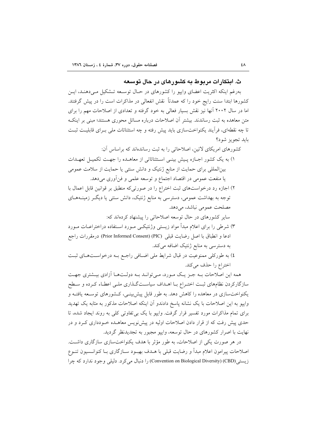ث. اینکار ات مریوط به کشور های در حال توسعه

بهرغم اینکه اکثریت اعضای وایپو را کشورهای در حـال توسـعه تـشکیل مـیدهنـد، ایـن کشورها ابتدا سنت رایج خود را که عمدتاً نقش انفعالی در مذاکرات است را در پیش گرفتند. اما در سال ۲۰۰۲ آنها نیز نقش بسیار فعالی به خود گرفته و تعدادی از اصلاحات مهم را برای متن معاهده به ثبت رساندند. بیشتر آن اصلاحات درباره مسائل محوری هستند؛ مبنی بر اینکـه تا چه نقطهای، فرآیند یکنواختسازی باید پیش رفته و چه استثنائات ملی بـرای قابلیـت ثبـت بايد تجويز شود؟

کشورهای امریکای لاتین، اصلاحاتی را به ثبت رساندهاند که براساس آن:

۱) به یک کشور اجبازه پیش بینبی استثنائاتی از معاهـده را جهـت تکمیـل تعهـدات بین المللی برای حمایت از منابع ژنتیک و دانش سنتی یا حمایت از سلامت عمومی یا منفعت عمومی در اقتصاد اجتماع و توسعه علمی و فنآوری میدهد.

۲) اجازه رد درخواستهای ثبت اختراع را در صورتی که منطبق بر قوانین قابل اعمال با توجه به بهداشت عمومی، دسترسی به منابع ژنتیک، دانش سنتی یا دیگـر زمینــههــای مصلحت عمومي نباشد، مي دهد.

سایر کشورهای در حال توسعه اصلاحاتی را پیشنهاد کردهاند که:

۳) شرطی را برای اعلام مبدأ مواد زیستی وژنتیکـی مـورد اســتفاده دراختراعــات مــورد ادعا و انطباق با اصل رضايت قبلي (PIC) (Prior Informed Consent) درمقررات راجع به دسترسی به منابع ژنتیک اضافه می کند.

٤) به طوركلي ممنوعيت در قبال شرايط ملي اضـافي راجـع بـه درخواسـتهـاي ثبـت اختراع را حذف مي كند.

همه این اصلاحات بـه جـز یـک مـورد، مـیتوانـد بـه دولـتهـا آزادی بیـشتری جهـت سازگارکردن نظامهای ثبت اختـراع بـا اهـداف سیاسـتگـذاری ملـی اعطـاء کـرده و سـطح یکنواختسازی در معاهده را کاهش دهد. به طور قابل پیش بینـی، کـشورهای توسـعه یافتـه و وایپو به این اصلاحات با یک نشانه پاسخ دادندو آن اینکه اصلاحات مذکور به مثابه یک تهدید برای تمام مذاکرات مورد تفسیر قرار گرفت. واییو با یک بی تفاوتی کلی به روند ایجاد شده، تا حدی پیش رفت که از قرار دادن اصلاحات اولیه در پیش نویس معاهــده خــودداری کــرد و در نهایت با اصرار کشورهای در حال توسعه، واپیو مجبور به تجدیدنظر گردید.

در هر صورت یکی از اصلاحات، به طور مؤثر با هدف یکنواختسازی سازگاری داشت. اصلاحات پیرامون اعلام مبدأ و رضایت قبلی با هــدف بهبــود ســازگاری بــا کنوانــسیون تنــوع زيستي (CBD) (Convention on Biological Diversity) را دنبال مي كرد. دليلي وجود ندارد كه چرا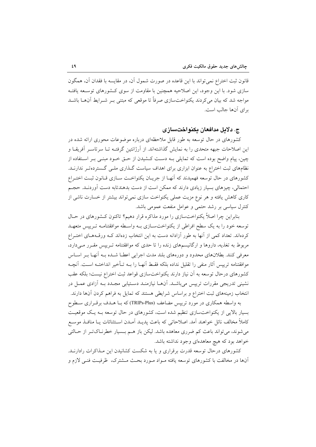قانون ثبت اختراع نمی تواند با این قاعده در صورت شمول آن، در مقایسه با فقدان آن، همگون سازی شود. با این وجود، این اصلاحیه همچنین با مقاومت از سوی کـشورهای توسـعه یافتـه مواجه شد که بیان میکردند یکنواختسازی صرفاً تا موقعی که مبتنی بـر شــرایط آنهــا باشــد براي أنها جالب است.

#### ج. دلايل مدافعان يكنواختسازى

کشورهای در حال توسعه به طور قابل ملاحظهای درباره موضوعات محوری ارائه شده در این اصلاحات جبهه متحدی را به نمایش گذاشتهاند. از آرژانتین گرفتـه تــا سرتاسـر آفریقــا و چین، پیام واضح بوده است که تمایل<sub>ی</sub> بــه دســت کــشیدن از حــق خــود مبنــی بــر اســتفاده از نظامهای ثبت اختراع به عنوان ابزاری برای اهداف سیاست گـذاری ملـی گـستردهتـر ندارنـد. کشورهای در حال توسعه فهمیدند که آنهـا از جریـان یکنواخـت سـازی قـانون ثبـت اختـراع احتمالی، چیزهای بسیار زیادی دارند که ممکن است از دست بدهندتابه دست آوردنـد. حجـم کاری کاهش یافته و هر نوع مزیت عملی یکنواخت سازی نمی تواند بیشتر از خسارت ناشی از کنترل سیاسی بر رشد حتمی و عوامل منفعت عمومی باشد.

بنابراین چرا اصلاً یکنواختسازی را مورد مذاکره قرار دهیم؟ تاکنون کـشورهای در حـال توسعه خود را به یک سطح افراطی از یکنواختسازی بـه واسـطه موافقتنامـه تـریپس متعهـد کردهاند. تعداد کمی از آنها به طور آزادانه دست به این انتخاب زدهاند کـه ورقـههـای اختـراع مربوط به تغذیه، داروها و ارگانیسمهای زنده را تا حدی که موافقتنامه تـریپس مقـرر مـیدارد، معرفی کنند. بطلانهای محدود و دورههای بلند مدت اجرایی اعطـا شــده بــه آنهــا بــر اســاس موافقتنامه ترييس أثار منفي را تقليل نداده بلكه فقبط أنهيا را ببه تبأخير انداختيه اسبت. أنجبه كشورهاى درحال توسعه به آن نياز دارند يكنواختسازى قواعد ثبت اختراع نيست؛ بلكه عقب نشینی تدریجی مقررات ترییس می باشـد. آنهـا نیازمنـد دسـتیابی مجـدد بــه آزادی عمــل در انتخاب زمینههای ثبت اختراع و براساس شرایطی هستند که تمایل به فراهم کردن آنها دارند.

به واسطه همکاری در مورد تریپس مضاعف (TRIPs-Plus) که بـا هـدف برقـراری سـطوح بسیار بالایی از یکنواختسازی تنظیم شده است، کشورهای در حال توسعه بـه یـک موقعیـت كاملاً مخالف نائل خواهند اَمد. اصلاحاتی كه باعث پدیــد اَمــدن اســتثنائات یــا منافــذ موســع می شوند، می تواند باعث کم ضرری معاهده باشد. لیکن باز هـم بـسیار خطرنـاکتـر از حـالتی خواهد بود که هیچ معاهدهای وجود نداشته باشد.

کشورهای درحال توسعه قدرت برقراری و یا به شکست کشانیدن این مـذاکرات رادارنــد. آنها در مخالفت با کشورهای توسعه یافته مـواد مـورد بحـث مـشترک، ظرفیـت فنـی لازم و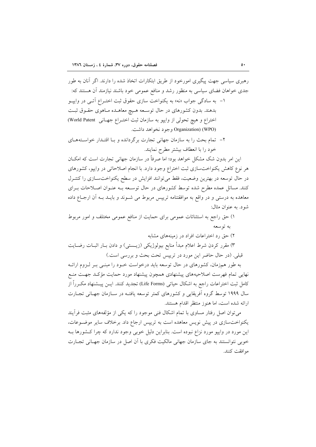رهبری سیاسی جهت پیگیری امورخود از طریق ابتکارات اتخاذ شده را دارند. اگر آنان به طور جدی خواهان فضای سیاسی به منظور رشد و منافع عمومی خود باشند نیازمند آن هستند که: ۱- به سادگی جواب «نه» به یکنواخت سازی حقوق ثبت اختـراع آتـی در وایپـو بدهند. بدون کشورهای در حال توسعه هـیچ معاهـده مـاهوی حقـوق ثبـت اختراع و هيچ تحولي از واييو به سازمان ثبت اختـراع جهـاني World Patent) Organization) (WPO) وجود نخواهد داشت.

۲– تمام بحث را به سازمان جهانی تجارت برگردانده و بـا اقتـدار خواسـتههـای خود را با انعطاف بیشتر مطرح نمایند.

این امر بدون شک مشکل خواهد بود؛ اما صرفاً در سازمان جهانی تجارت است که امکــان هر نوع کاهش یکنواختسازی ثبت اختراع وجود دارد. با انجام اصلاحاتی در وایپو، کشورهای در حال توسعه در بهترین وضعیت، فقط می توانند افزایش در سطح یکنواخت سازی را کنتـرل کنند. مسائل عمده مطرح شده توسط کشورهای در حال توسـعه بــه عنــوان اصــلاحات بــرای معاهده به درستی و در واقع به موافقتنامه ترییس مربوط می شـوند و بایـد بـه آن ارجـاع داده شود. به عنوان مثال:

١) حق راجع به استثنائات عمومي براي حمايت از منافع عمومي مختلف و امور مربوط په توسعه

۲) حق رد اختراعات افراد در زمینههای مشابه

۳) مقرر کردن شرط اعلام مبدأ منابع بیولوژیکی (زیــستی) و دادن بــار اثبــات رضــایت قبلی. (در حال حاضر این مورد در تریپس تحت بحث و بررسی است.)

به طور همزمان، کشورهای در حال توسعه باید درخواست خـود را مبنـی بـر لـزوم ارائـه نهایی تمام فهرست اصلاحیههای پیشنهادی همچون پیشنهاد مورد حمایت مؤکـد جهـت منـع كامل ثبت اختراعات راجع به اشكال حياتي (Life Forms) تجديد كنند. ايــن پيــشنهاد مكــرراً از سال ۱۹۹۹ توسط گروه آفریقایی و کشورهای کمتر توسعه یافتـه در سـازمان جهـانی تجـارت ارائه شده است، اما هنوز منتظر اقدام هستند.

می توان اصل رفتار مساوی با تمام اشکال فنی موجود را که یکی از مؤلفههای مثبت فرآیند یکنواخت سازی در پیش نویس معاهده است به تریپس ارجاع داد. برخلاف سایر موضوعات، این مورد در وایپو مورد نزاع نبوده است. بنابراین دلیل خوبی وجود ندارد که چرا کشورها بـه خوبی نتوانستند به جای سازمان جهانی مالکیت فکری با آن اصل در سازمان جهـانی تجـارت موافقت كنند.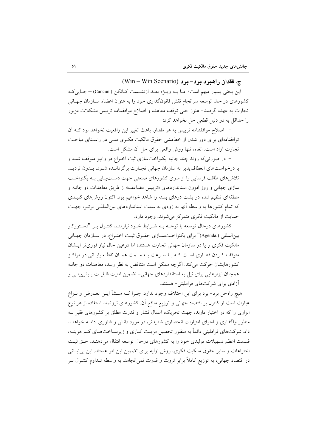#### چ. فقدان راهبرد برد- مرد (Win - Win Scenario)

این بحثی بسیار مبهم است؛ امـا بـه ویـژه بعـد ازنشـست كـانكن (.Cancun) – جـاییكـه کشورهای در حال توسعه سرانجام نقش قانونگذاری خود را به عنوان اعضاء سـازمان جهـانی تجارت به عهده گرفتند– هنوز حتى توقف معاهده و اصلاح موافقتنامه تريپس مشكلات مزبور را حداقل به دو دلیل قطعی حل نخواهد کرد:

– اصلاح موافقتنامه تریپس به هر مقدار، باعث تغییر این واقعیت نخواهد بود کـه آن توافقنامهای برای دور شدن از خطمشی حقوق مالکیت فک وی ملـی در راسـتای مباحـث تجارت أزاد است. الغاء، تنها روش واقعی برای حل أن مشکل است.

– در صورتی که روند چند جانبه یکنواختسازی ثبت اختراع در وایپو متوقف شده و با درخواستهای انعطاف پذیر به سازمان جهانی تجارت برگردانـده شـود، بـدون تردیـد تلاش های طاقت فرسایی را از سوی کشورهای صنعتی جهت دســتیــابی بــه یکنواخــت سازی جهانی و روز افزون استانداردهای «ترییس مضاعف» از طریق معاهدات دو جانبه و منطقهای تنظیم شده در پشت درهای بسته را شاهد خواهیم بود. اکنون روش های کلیـدی که تمام کشورها به واسطه آنها به زودی به سمت استانداردهای بینالمللبی برتـر، جهـت حمایت از مالکیت فکری متمرکز می شوند، وجود دارد.

کشورهای درحال توسعه با توجـه بــه شــرایط خــود نیازمنــد کنتــرل بــر "دســتورکار بينالمللي (.Agenda)" براي يكنواخـتسـازي حقـوق ثبـت اختـراع، در سـازمان جهـاني مالکیت فکری و یا در سازمان جهانی تجارت هستند؛ اما درعین حال نیاز فوریتر ایـشان متوقف کـردن قطـاري اسـت کـه بـا سـرعت بـه سـمت همـان نقطـه پايـاني در مراکـز کشورهایشان حرکت می کند. اگرچه ممکن است متناقض به نظر رسد، معاهدات دو جانبه همچنان ابزارهایی برای نیل به استانداردهای جهانی- تضمین امنیت قابلیـت پـیش بینـی و آزادی برای شرکتهای فراملیتی- هستند.

هیچ راهحل برد- برد برای این اختلاف وجود ندارد. چـرا کــه منــشأ ایــن تعــارض و نــزاع عبارت است از کنترل بر اقتصاد جهانی و توزیع منافع آن. کشورهای ثروتمند استفاده از هر نوع ابزاری را که در اختیار دارند، جهت تحریک، اعمال فشار و قدرت مطلق بر کشورهای فقیر بـه منظور واگذاری و اجرای امتیازات انحصاری شدیدتر، در مورد دانش و فناوری ادامــه خواهنــد داد. شرکتهای فراملیتی دائماً به منظور تحصیل مزیـت کــاری و زیرســاختهــای کــم هزینــه، قسمت اعظم تسهیلات تولیدی خود را به کشورهای درحال توسعه انتقال می دهنـد. حــق ثبـت اختراعات و سایر حقوق مالکیت فکری، روش اولیه برای تضمین این امر هستند. این بی ثبـاتی در اقتصاد جهانی، به توزیع کاملاً برابر ثروت و قدرت نمی|نجامد. به واسطه تــداوم کنتــرل بــر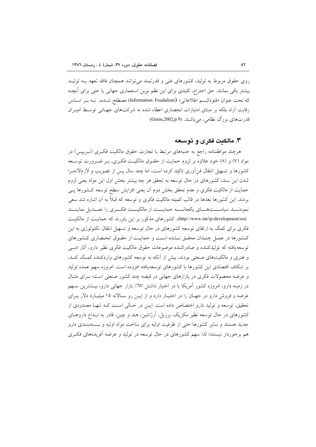روی حقوق مربوط به تولید، کشورهای غنی و قدرتمند می توانند همچنان فاقد تعهد بــه تولیــد بیشتر باقی بمانند. حق اختراع، کلیدی برای این نظم نوین استعماری جهانی یا حتی برای آنچـه كه تحت عنوان «فئوداليسم اطلاعاتي» (Information Feudalism) مصطلح شـده، نــه بــر اســاس رقابت آزاد بلکه بر مبنای امتیازات انحصاری اعطاء شده به شرکتهای جهـانی توسـط امیـران قدرتهای بزرگ نظامی، میباشند. (Grain,2002,p.9)

#### ۳. مالکیت فکری و توسعه

هرچند موافقتنامه راجع به جنبههای مرتبط با تجارت حقوق مالکیت فکـری (تـریپس) در مواد (۷) و (۸) خود علاوه بر لزوم حمایت از حقـوق مالکیـت فکـری، بـر ضـرورت توسـعه كشورها و تسهيل انتقال فن[ورى تاكيد كرده است، اما چند سال پس از تصويب و لازمالاجـرا شدن این سند، کشورهای در حال توسعه به تحقق هر چه بیشتر بخش اول این مواد یعنی لزوم حمایت از مالکیت فکری و عدم تحقق بخش دوم آن یعنی افزایش سطح توسعه کـشورها پــی بردند. این کشورها بعدها در قالب کمیته مالکیت فکری و توسعه که قبلاً به آن اشاره شد سعی نمودنـــد سیاســـتهـــای یکجانبـــه حمایـــت از مالکیـــت فکـــری را تعـــدیل نماینـــد (http://www.int/ip-development/en). كشورهاي مذكور بر اين باورند كه حمايت از مالكيت فکری برای کمک به ارتقای توسعه کشورهای در حال توسعه و تسهیل انتقال تکنولوژی به این كـشورها در عمـل چنـدان محقـق نـشده اسـت و حمايـت از حقـوق انحـصارى كـشورهاى توسعه یافته که تولیدکننده و صادرکننده موضوعات حقوق مالکیت فکری نظیر دارو، آثار ادببی و هنری و مالکیتهای صنعتی بودند، بیش از آنکه به توسعه کشورهای واردکننده کمک کنـد. بر شکاف اقتصادی این کشورها با کشورهای توسعهیافته افزوده است. امروزه سهم عمده تولید و عرضه محصولات فکری در بازارهای جهانی در قبضه چند کشور صنعتی است؛ بـرای مثـال در زمینه دارو، امروزه کشور آمریکا با در اختیار داشتن ٦٧٪ بازار جهانی دارو، بیــشترین ســهم عرضه و فروش دارو در جهـان را در اختيـار دارد و از ايـن رو سـالانه ١٥ ميليـارد دلار بـراي تحقیق، توسعه و تولید دارو اختصاص داده است. ایـن در حـالی اسـت کـه تنهـا معـدودی از کشورهای در حال توسعه نظیر مکزیک، برزیل، آرژانتین، هند و چین، قادر به ابـداع داروهــای جدید هستند و سایر کشورها حتی از ظرفیت اولیه برای ساخت مواد اولیه و بـستهبنـدی دارو هم برخوردار نیستند؛ لذا سهم کشورهای در حال توسعه در تولید و عرضه آفریدههای فکـری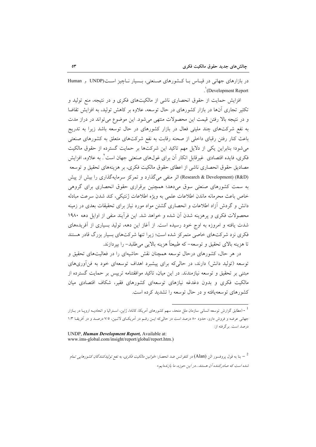در بازارهای جهانی در قیباس ببا کشورهای صنعتی، بـسیار نباچیز اسـت(UNDP و Human  $\therefore$  (Development Report

افزایش حمایت از حقوق انحصاری ناشی از مالکیتهای فکری و در نتیجه، منع تولید و تکثیر تجاری آنها در بازار کشورهای در حال توسعه، علاوه بر کاهش تولید، به افزایش تقاضا و در نتیجه بالا رفتن قیمت این محصولات منتهی می شود. این موضوع می تواند در دراز مدت به نفع شرکتهای چند ملیتی فعال در بازار کشورهای در حال توسعه باشد زیرا به تدریج باعث کنار رفتن رقبای داخلی از صحنه رقابت به نفع شرکتهای متعلق به کشورهای صنعتی می شود؛ بنابراین یکی از دلایل مهم تاکید این شرکتها بر حمایت گسترده از حقوق مالکیت فکری، فایده اقتصادی غیرقابل انکار آن برای غولهای صنعتی جهان است٬ به علاوه، افزایش مصاديق حقوق انحصاري ناشي از اعطاي حقوق مالكيت فكري، بر هزينههاي تحقيق و توسعه (Research & Development) (R&D) اثر منفی می گذارد و تمرکز سرمایهگذاری را بیش از پیش به سمت کشورهای صنعتی سوق میدهد؛ همچنین برقراری حقوق انحصاری برای گروهی خاص باعث محرمانه ماندن اطلاعات علمي به ويژه اطلاعات ژنتيكي، كند شدن سرعت مبادله دانش و گردش آزاد اطلاعات و انحصاری گشتن مواد مورد نیاز برای تحقیقات بعدی در زمینه محصولات فكرى و يرهزينه شدن آن شده و خواهد شد. اين فرأيند منفى از اوايل دهه ١٩٨٠ شدت یافته و امروزه به اوج خود رسیده است. از آغاز این دهه، تولید بسیاری از آفریدههای فکری نزد شرکتهای خاصی متمرکز شده است؛ زیرا تنها شرکتهای بسیار بزرگ قادر هستند تا هزينه بالاي تحقيق و توسعه– كه طبيعتاً هزينه بالايي مي طلبد– را بيردازند.

در هر حال، کشورهای درحال توسعه همچنان نقش حاشیهای را در فعالیتهای تحقیق و توسعه (تولید دانش) دارند، در حالیکه برای پیشبرد اهداف توسعهای خود به فن[وریهای مبتنی بر تحقیق و توسعه نیازمندند. در این میان، تاکید موافقتنامه ترییس بر حمایت گسترده از مالکیت فکری و بدون دغدغه نیازهای توسعهای کشورهای فقیر، شکاف اقتصادی میان کشورهای توسعهپافته و در حال توسعه را تشدید کرده است.

<sup>- (</sup>مطابق گزارش توسعه انسانی سازمان ملل متحد، سهم کشورهای اَمریکا، کانادا، ژاپن، اسـترالیا و اتحادیــه اروپــا در بــازار جهانی عرضه و فروش دارو، حدود ۸۰ درصد است در حالی که ایـن رقـم در آمریکـای لاتـین، ۷/۵ درصـد و در آفریقـا ۱/۳ درصد است. برگرفته از:

UNDP, Human Development Report, Available at: www.ims-global.com/insight/report/global/report.htm.)

<sup>&</sup>lt;sup>2</sup> – بنا به قول پروفسور الن (Alan) در کنفرانس ضد انحصار: *«قوانین مالکیت فکری، به نفع تولیدکنندگان کشورهایی تمام* شده است که صادرکننده آن هستند...در این حوزه، ما بازندهایم.»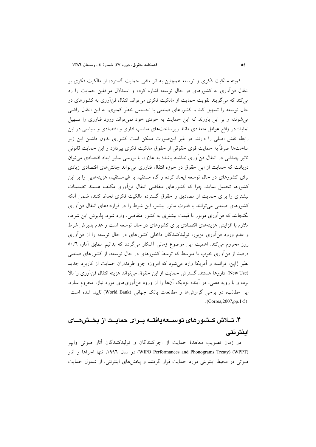کمیته مالکیت فکری و توسعه همچنین به اثر منفی حمایت گسترده از مالکیت فکری بر انتقال فن آوری به کشورهای در حال توسعه اشاره کرده و استدلال موافقین حمایت را رد می کند که می گویند تقویت حمایت از مالکیت فکری می تواند انتقال فن اَوری به کشورهای در حال توسعه را تسهیل کند و کشورهای صنعتی با احساس خطر کمتری، به این انتقال راضی می شوند؛ و بر این باورند که این حمایت به خودی خود نمی تواند ورود فناوری را تسهیل نماید؛ در واقع عوامل متعددی مانند زیرساختهای مناسب اداری و اقتصادی و سیاسی در این رابطه نقش اصلی را دارند. در غیر این صورت ممکن است کشوری بدون داشتن این زیر ساختها صرفاً به حمايت قوى حقوقى از حقوق مالكيت فكرى بيردازد و اين حمايت قانوني تاثیر چندانی در انتقال فن آوری نداشته باشد؛ به علاوه، با بررسی سایر ابعاد اقتصادی می توان دریافت که حمایت از این حقوق در حوزه انتقال فناوری می تواند چالش های اقتصادی زیادی برای کشورهای در حال توسعه ایجاد کرده و گاه مستقیم یا غیرمستقیم، هزینههایی را بر این کشورها تحمیل نماید، چرا که کشورهای متقاضی انتقال فنأوری مکلف هستند تضمینات بیشتری را برای حمایت از مصادیق و حقوق گسترده مالکیت فکری لحاظ کنند، ضمن آنکه کشورهای صنعتی می توانند با قدرت مانور بیشتر، این شرط را در قراردادهای انتقال فن آوری بگنجانند که فنأوری مزبور با قیمت بیشتری به کشور متقاضی، وارد شود. پذیرش این شرط، ملازم با افزایش هزینههای اقتصادی برای کشورهای در حال توسعه است و عدم پذیرش شرط و عدم ورود فن[وری مزبور، تولیدکنندگان داخلی کشورهای در حال توسعه را از فن[وری روز محروم میکند. اهمیت این موضوع زمانی آشکار میگردد که بدانیم مطابق آمار، ٥٠/٦ درصد از فنآوری خوب یا متوسط که توسط کشورهای در حال توسعه، از کشورهای صنعتی نظیر ژاپن، فرانسه و أمریکا وارد میشود که امروزه جزو طرفداران حمایت از کاربرد جدید (New Use) داروها هستند. گسترش حمایت از این حقوق می تواند هزینه انتقال فن آوری را بالا برده و با رویه فعلی، در آینده نزدیک آنها را از ورود فنآوریهای مورد نیاز، محروم سازد. این مطالب، در برخی گزارشها و مطالعات بانک جهانی (World Bank) تایید شده است .(Correa,  $2007$ , pp. 1-5)

# ۴. تــلاش كــشـورهاى توســـعهـيافتـــه بــراى حمايــت از يخــش@ـــاى اينترنتي

در زمان تصویب معاهدهٔ حمایت از اجراکنندگان و تولیدکنندگان آثار صوتی وایپو (WPT) در سال ۱۹۹۶، تنها اجراها و آثار) (WIPO Performances and Phonograms Treaty) صوتی در محیط اینترنتی مورد حمایت قرار گرفتند و یخشهای اینترنتی، از شمول حمایت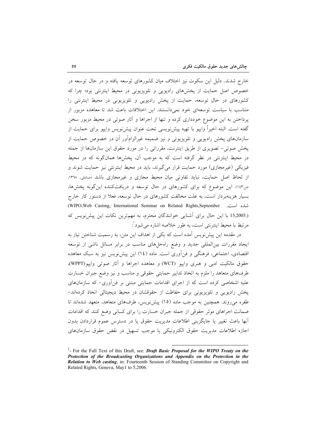خارج شدند. دلیل این سکوت نیز اختلاف میان کشورهای توسعه یافته و در حال توسعه در خصوص اصل حمایت از پخشهای رادیویی و تلویزیونی در محیط اینترنتی بود؛ چرا که کشورهای در حال توسعه، حمایت از یخش رادیویی و تلویزیونی در محیط اینترنتی را متناسب با سیاست توسعهای خود نمیدانستند. این اختلافات باعث شد تا معاهده مزبور از پرداختن به این موضوع خودداری کرده و تنها از اجراها و آثار صوتی در محیط مزبور سخن گفته است. البته اخیراً واییو با تهیه پیشنویسی تحت عنوان پیشنویس واییو برای حمایت از سازمانهای پخش رادیویی و تلویزیونی و نیز ضمیمه غیرالزامآور آن در خصوص حمایت از يخش صوتي- تصويري از طريق اينترنت، مقرراتي را در مورد حقوق اين سازمانها از جمله در محیط اینترنتی در نظر گرفته است که به موجب آن، پخشها همانگونه که در محیط فیزیکی (غیرمجازی) مورد حمایت قرار می گیرند، باید در محیط اینترنتی نیز حمایت شوند و از لحاظ اصل حمایت، نباید تفاوتی میان محیط مجازی و غیرمجازی باشد (صادقی، ۱۳۶۸، ص١٤٣). اين موضوع كه براي كشورهاي در حال توسعه و دريافتكننده اين گونه پخشها، بسیار هزینهبردار است، به علت مخالفت کشورهای در حال توسعه، فعلا از دستور کار خارج شلده است. WIPO, Web Casting, International Seminar on Related Rights, September (.15,2005 با این حال برای آشنایی خوانندگان محترم، به مهمترین نکات این پیش نویس که مرتبط با محيط اينترنتي است، به طور خلاصه اشاره مي شود ٰ:

در مقدمه این پیش نویس آمده است که یکی از اهداف این متن، به رسمیت شناختن نیاز به ایجاد مقررات بین|لمللی جدید و وضع راهحلهای مناسب در برابر مسائل ناشی از توسعه اقتصادی، اجتماعی، فرهنگی و فنآوری است. ماده (١٤) این پیشنویس نیز به سبک معاهده حقوق مالكيت ادبي و هنري وايپو (WCT) و معاهده اجراها و آثار صوتي وايپو(WPPT)، طرفهای متعاهد را ملزم به اتخاذ تدابیر حمایتی حقوقی و مناسب و نیز وضع جبران خسارت علیه اشخاصی کرده است که از اجرای اقدامات حمایتی مبتنی بر فنآوری- که سازمانهای پخش رادیویی و تلویزیونی برای حفاظت از حقوقشان در محیط دیجیتالی اتخاذ کردهاند-طفره میرووند. همچنین به موجب ماده (١٥) پیش نویس، طرفهای متعاهد، متعهد شدهاند تا ضمانت اجراهای موثر حقوقی از جمله جبران خسارت را برای کسانی وضع کنند که اقدامات آنها باعث تغییر یا جایگزینی اطلاعات مدیریت حقوق یا در دسترس عموم قراردادن بدون اجازه اطلاعات مديريت حقوق الكترونيكي يا موجب تسهيل در نقض حقوق سازمانهاي

<sup>&</sup>lt;sup>1</sup>- For the Full Text of this Draft, see: *Draft Basic Proposal for the WIPO Treaty on the* Protection of the Broadcasting Organizations and Appendix on the Protection in the **Relation to Web casting, in: Fourteenth Session of Standing Committee on Copyright and** Related Rights, Geneva, May1 to 5,2006.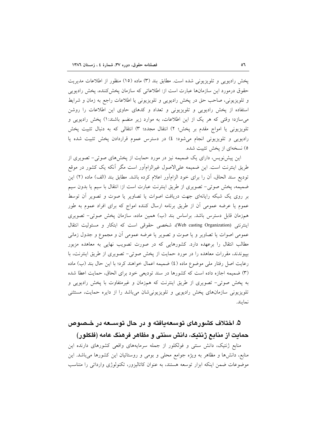پخش رادیویی و تلویزیونی شده است. مطابق بند (۳) ماده (۱۵) منظور از اطلاعات مدیریت حقوق درمورد این سازمانها عبارت است از: اطلاعاتی که سازمان یخش کننده، یخش رادیویی و تلویزیونی، صاحب حق در پخش رادیویی و تلویزیونی یا اطلاعات راجع به زمان و شرایط استفاده از پخش رادیویی و تلویزیونی و تعداد و کدهای حاوی این اطلاعات را روشن می سازد؛ وقتی که هر یک از این اطلاعات، به موارد زیر منضم باشند:۱) پخش رادیویی و تلویزیونی یا امواج مقدم بر پخش؛ ۲) انتقال مجدد؛ ۳) انتقالی که به دنبال تثبیت پخش رادیویی و تلویزیونی انجام میشود؛ ٤) در دسترس عموم قراردادن پخش تثبیت شده یا ٥) نسخهای از یخش تثبیت شده.

این پیش نویس، دارای یک ضمیمه نیز در مورد حمایت از پخشهای صوتی- تصویری از طریق اینترنت است. این ضمیمه علیالاصول غیرالزامآور است مگر آنکه یک کشور در موقع توديع سند الحاق، أن را براي خود الزامأور اعلام كرده باشد. مطابق بند (الف) ماده (٢) اين ضمیمه، پخش صوتی– تصویری از طریق اینترنت عبارت است از: انتقال با سیم یا بدون سیم بر روی یک شبکه رایانهای جهت دریافت اصوات یا تصاویر یا صوت و تصویر أن توسط عموم یا عرضه عمومی آن از طریق برنامه ارسال کننده امواج که برای افراد عموم به طور همزمان قابل دسترس باشد. براساس بند (ب) همین ماده، سازمان پخش صوتی- تصویری اينترنتي (Web casting Organization)، شخصي حقوقي است كه ابتكار و مسئوليت انتقال عمومي اصوات يا تصاوير و يا صوت و تصوير يا عرضه عمومي أن و مجموع و جدول زماني مطالب انتقال را برعهده دارد. کشورهایی که در صورت تصویب نهایی به معاهده مزبور بپیوندند، مقررات معاهده را در مورد حمایت از پخش صوتی- تصویری از طریق اینترنت، با رعايت اصل رفتار ملي موضوع ماده (٤) ضميمه اعمال خواهند كرد؛ با اين حال بند (ب) ماده (٣) ضميمه اجازه داده است كه كشورها در سند توديعي خود براي الحاق، حمايت اعطا شده به پخش صوتی- تصویری از طریق اینترنت که همزمان و غیرمتفاوت با پخش رادیویی و تلویزیونی سازمانهای پخش رادیویی و تلویزیونیشان میباشد را از دایره حمایت، مستثنی نماىند.

## ۵. اختلاف کشورهای توسعهیافته و در حال توســعه در خـصوص حمایت از منابع ژنتیک، دانش سنتی و مظاهر فرهنگ عامه (فلکلور)

منابع ژنتیک، دانش سنتی و فولکلور از جمله سرمایههای واقعی کشورهای دارنده این منابع، دانشها و مظاهر به ویژه جوامع محلی و بومی و روستائیان این کشورها میباشد. این موضوعات ضمن اینکه ابزار توسعه هستند، به عنوان کاتالیزور، تکنولوژی وارداتی را متناسب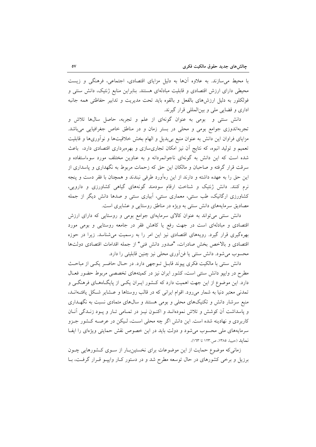با محیط می سازند. به علاوه آنها به دلیل مزایای اقتصادی، اجتماعی، فرهنگی و زیست محیطی دارای ارزش اقتصادی و قابلیت مبادلهای هستند. بنابراین منابع ژنتیک، دانش سنتی و فولكلور به دليل ارزش،هاى بالفعل و بالقوه بايد تحت مديريت و تدابير حفاظتى همه جانبه اداری و قضایی ملی و بینالمللی قرار گیرند.

دانش سنتی و بومی به عنوان گونهای از علم و تجربه، حاصل سالها تلاش و تجربهاندوزی جوامع بومی و محلی در بستر زمان و در مناطق خاص جغرافیایی میباشد. مزایای فراوان این دانش به عنوان منبع بیµدیل و الهام بخش خلاقیتها و نوآوریها و قابلیت تعمیم و تولید انبوه، که نتایج آن نیز امکان تجاریسازی و بهرهبرداری اقتصادی دارد، باعث شده است که این دانش به گونهای ناجوانمردانه و به عناوین مختلف مورد سوءاستفاده و سرقت قرار گرفته و صاحبان و مالکان این حق که زحمات مربوط به نگهداری و پاسداری از این حق را به عهده داشته و دارند از این رهآورد طرفی نبندند و همچنان با فقر دست و پنجه نرم کنند. دانش ژنتیک و شناخت ارقام سودمند گونههای گیاهی کشاورزی و دارویی، کشاورزی ارگانیک، طب سنتی، معماری سنتی، آبیاری سنتی و صدها دانش دیگر از جمله مصادیق سرمایههای دانش سنتی به ویژه در مناطق روستایی و عشایری است.

دانش سنتی میتواند به عنوان کالای سرمایهای جوامع بومی و روستایی که دارای ارزش اقتصادی و مبادلهای است در جهت رفع یا کاهش فقر در جامعه روستایی و بومی مورد بهرهگیری قرار گیرد. رویههای اقتصادی نیز این امر را به رسمیت می شناسد. زیرا در حوزه اقتصادی و بالاخص بخش صادرات، "صدور دانش فنی" از جمله اقدامات اقتصادی دولتها محسوب می شود. دانش سنتی یا فن|َوری محلی نیز چنین قابلیتی را دارد.

دانش سنتی با مالکیت فکری پیوند قابـل تـوجهی دارد. در حـال حاضـر یکـی از مباحـث مطرح در وایپو دانش سنتی است، کشور ایران نیز در کمیتههای تخصصی مربوط حضور فعـال دارد. این موضوع از این جهت اهمیت دارد که کـشور ایـران یکـی از پایگـاههـای فرهنگـی و تمدنی معتبر دنیا به شمار میرود. اقوام ایرانی که در قالب روستاها و عـشایر شـکل یافتـهانـد، منبع سرشار دانش و تکنیکهای محلی و بومی هستند و سال های متمادی نسبت به نگهـداری و پاسداشت آن کوشش و تلاش نمودهانـد و اکنـون نيـز در تمـامي تـار و پـود زنـدگي آنـان کاربردی و نهادینه شده است. این دانش اگر چه محلی است، لیکن در عرصـه کـشور جـزو سرمایههای ملی محسوب می شود و دولت باید در این خصوص نقش حمایتی ویژهای را ایف نمايد (حبيبا، ١٣٨٥، ص١٢٣. تا ١٦٣).

زمانی که موضوع حمایت از این موضوعات برای نخستینبار از سـوی کـشورهایی چـون برزیل و برخی کشورهای در حال توسعه مطرح شد و در دستور کـار وایپـو قـرار گرفـت، بـا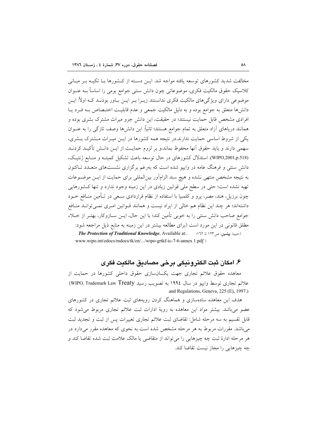مخالفت شدید کشورهای توسعه یافته مواجه شد. ایــن دسـته از کــشورها بــا تکیــه بــر مبــانی كلاسيك حقوق مالكيت فكرى، موضوعاتي چون دانش سنتي جوامع بومي را اساساً بـه عنـوان موضوعی دارای ویژگیهای مالکیت فکری ندانستند زیـرا بـر ایــن بــاور بودنــد کــه اولاً: ایــن دانشها متعلق به جوامع بوده و به دلیل مالکیت جمعی و عدم قابلیـت اختـصاص بـه فـرد یـا افرادی مشخص قابل حمایت نیستند؛ در حقیقت، این دانش جزو میراث مشترک بشری بوده و همانند دریاهای آزاد متعلق به تمام جوامع هستند؛ ثانیاً: این دانشها وصف تازگی را به عنــوان یکی از شروط اساسی حمایت ندارند.در نتیجه همه کشورها در ایـن میـراث مـشترک بـشری، سهمی دارند و باید حقوق آنها محفوظ بماند،و بر لزوم حمایـت از ایـن دانـش تأکیــد کردنــد (WIPO,2001,p.518). استدلال كشورهاي در حال توسعه باعث تشكيل كميتـه و منـابع ژنتيـك، دانش سنتی و فرهنگ عامه در واییو شده است که بهرغم برگزاری نشستهای متعـدد تــاکنون به نتیجه مشخص منتهی نشده و هیچ سند الزامآور بینالمللی برای حمایت از ایـن موضـوعات تهیه نشده است؛ حتی در سطح ملی قوانین زیادی در این زمینه وجود ندارد و تنها کـشورهایی چون برزیل، هند، مصر، پرو و کلمبیا با استفاده از نظام قراردادی سـعی در تـأمین منـافع خــود داشتهاند؛ هر چند این نظام هم خالی از ایراد نیست و همانند قـوانین امـری نمـی توانــد منـافع جوامع صاحب دانش سنتی را به خوبی تأمین کند؛ با این حال، ایــن ســازوکار، بهتـر از خــلاء مطلق قانونی در این مورد است (برای مطالعه بیشتر در این زمینه به منابع ذیل مراجعه شود: The Protection of Traditional Knowledge, Available at:. (حبيبا، پيشين، ص١٢٣ تا ٦٢٩ www.wipo.int/edocs/mdocs/tk/en/.../wipo-grtkf-ic-7-6-annex 1.pdf )

### ۶. امكان ثبت الكترونيكي برخي مصاديق مالكيت فكرى

معاهده حقوق علائم تجارى جهت يكسانسازى حقوق داخلى كشورها در حمايت از علائم تجاري توسط واييو در سال ١٩٩٤ به تصويب رسيد WIPO, Trademark Law Treaty) and Regulations, Geneva, 225 (E), 1997.)

هدف این معاهده سادهسازی و هماهنگ کردن رویههای ثبت علائم تجاری در کشورهای عضو می باشد. بیشتر مواد این معاهده به رویهٔ ادارات ثبت علائم تجاری مربوط می شود که قابل تقسیم به سه مرحله شامل: تقاضای ثبت علائم تجاری تغییرات پس از ثبت و تجدید ثبت می باشد. مقررات مربوط به هر مرحله مشخص شده است به نحوی که معاهده مقرر می دارد در هر مرحله ادارهٔ ثبت چه چیزهایی را می تواند از متقاضی یا مالک علامت ثبت شده تقاضا کند و چه چیزهایی را مجاز نیست تقاضا کند.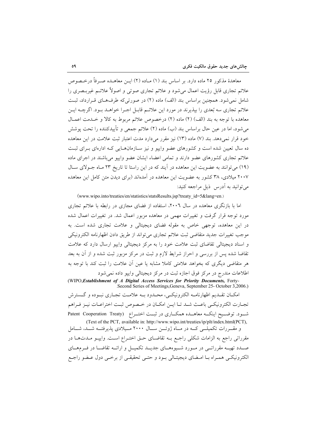معاهدهٔ مذکور ۲۵ ماده دارد. بر اساس بند (۱) مــاده (۲) ايــن معاهــده صــرفاً درخــصوص علائم تجاری قابل رؤیت اعمال می شود و علائم تجاری صوتی و اصولاً علائـم غیربـصری را شامل نمی شود. همچنین براساس بند (الف) ماده (۲) در صورتی که طرفهای قـرارداد، ثبـت علائم تجاری سه بُعدی را بپذیرند در مورد این علائـم قابـل اجـرا خواهــد بــود. اگرچــه ایــن معاهده با توجه به بند (الف) (٢) ماده (٢) درخصوص علائم مربوط به كالا و خــدمت اعمــال می شود، اما در عین حال براساس بند (ب) ماده (۲) علائم جمعی و تأییدکننده را تحت پوشش خود قرار نمی دهد. بند (۷) ماده (۱۳) نیز مقرر می دارد مدت اعتبار ثبت علامت در این معاهده ده سال تعیین شده است و کشورهای عضو واییو و نیز سـازمانهـایی کـه ادارهای بـرای ثبـت علائم تجاری کشورهای عضو دارند و تمامی اعضاء ایشان عضو واییو میباشند در اجرای ماده (١٩) می توانند به عضویت این معاهده در آیند که در این راستا تا تاریخ ٢٣ مـاه جـولای سـال ۲۰۰۷ میلادی، ۳۸ کشور به عضویت این معاهده در آمدهاند (برای دیدن متن کامل این معاهده می توانید به آدرس ذیل مراجعه کنید:

(www.wipo.into/treaties/en/statistics/statsResults.jsp?treaty\_id=5&lang=en.)

اما با بازنگری معاهده در سال ۲۰۰٦، استفاده از فضای مجازی در رابطه با علائم تجاری مورد توجه قرار گرفت و تغییرات مهمی در معاهده مزبور اعمال شد. در تغییرات اعمال شده در این معاهده، توجهی خاص به مقوله فضای دیجیتالی و علامت تجاری شده است. به موجب تغییرات جدید متقاضی ثبت علائم تجاری می تواند از طریق دادن اظهارنامه الکترونیکی و اسناد دیجیتالی تقاضای ثبت علامت خود را به مرکز دیجیتالی واییو ارسال دارد که علامت تقاضا شده پس از بررسی و احراز شرایط لازم و ثبت در مرکز مزبور ثبت شده و از آن به بعد هر متقاضی دیگری که بخواهد علامتی کاملا مشابه یا عین اّن علامت را ثبت کند با توجه به اطلاعات مندرج در مرکز فوق اجازه ثبت در مرکز دیجیتالی وایپو داده نمی شود

(WIPO, Establishment of A Digital Access Services for Priority Documents, Forty-Second Series of Meetings, Geneva, September 25- October 3,2006.)

امكــان تقــديم اظهارنامــه الكترونيكــي، محــدود بــه علامــت تجــاري نبــوده و گــسترش تجـارت الكترونيكـي باعـث شـد تـا ايـن امكـان در خـصوص ثبـت اختراعـات نيـز فـراهم شـود. توضـيح اينکـه معاهــده همکــاري در ثبــت اختــراع (Patent Cooperation Treaty (Text of the PCT, available in: http://www.wipo.int/treaties/ip/plt/index.html(PCT),

و مقــررات تکمیلــی کــه در مــاه ژوئـــن ســال ۲۰۰۰ مــیلادی پذیرفتــه شـــد، شــامل مقرراتی راجع به الزامات شکلی راجع بـه تقاضـای حـق اختـراع اسـت. وايپـو مـدتهـا در صـدد تهیــه مقرراتــی در مــورد شــیوههــای جدیــد تکمیــل و ارائــه تقاضــا در فــرمهــای الكترونيكيي همـراه بـا امـضاي ديجيتـالي بـود و حتـي تحقيقـي از برخـي دول عـضو راجـع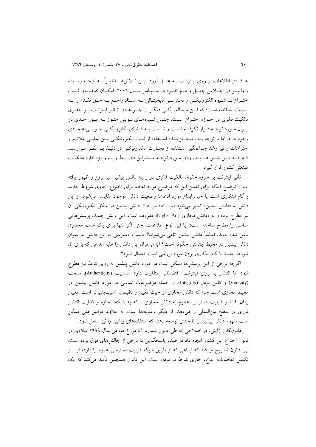به افشای اطلاعات بر روی اینترنـت بـه عمـل آورد. ایــن تــلاش۱هـا اخیــراً بــه نتیجـه رســیده و واپیسو در اجبلاس چهسل و دوم خسود در سسپتامبر سسال ۲۰۰۲، امکسان تقاضیای ثبیت اختـراع بــا شــيوه الكترونيكــي و دسترســي ديجيتــالي بــه اسـناد راجــع بــه حــق تقــدم را بــه رسمیت شناخته است؛ که ایـن مـساله، یکـی دیگـر از جلـوههـای تـاثیر اینترنـت بـر حقـوق مالکیت فکری در حـوزه اختـراع اسـت. چنـین شـیوههـای نـوینی هنـوز بـه طـور جـدی در ایـران مـورد توجـه قـرار نگرفتـه اسـت و نـسبت بـه فـضاى الكترونيكـي جـو بـي|عتمـادى وجود دارد. اما با توجه بـه رشـد فزاينـده اسـتفاده از ثبـت الكترونيكـي بـينالمللـي علائـم و اختراعات و نيز رشد چــشمگير اسـتفاده از تجـارت الكترونيكـي در دنيـا، بــه نظـر مــي رســد کـه بايـد ايـن شـيوههـا بـه زودي مـورد توجـه مـسئولين ذيربـط و بـه ويـژه اداره مالكيـت صنعتی کشور قرار گیرد.

تأثیر اینترنت بر حوزه حقوق مالکیت فکری در زمینه دانش پیشین نیز بروز و ظهور یافته است. توضیح اینکه برای تعیین این که موضوع مورد تقاضا برای اختراع، حاوی شروط جدید و گام ابتکاری است یا خیر، ابداع مورد ادعا با وضعیت دانش موجود مقایسه می شود. از این دانش به «دانش پیشین» تعبیر می شود (حبیه،۱۳۸۳،ص۱۳۳). دانش پیشین در شکل الکترونیکی آن نیز مطرح بوده و به «دانش مجازی (Cyber Art)» معروف است. این دانش جدید، پرسشهایی اساسی را مطرح ساخته است: آیا این نوع اطلاعات، حتی اگر تنها برای یک مدت محدود، فاش شده باشد، اساساً دانش پیشین تلقی میشوند؟ قابلیت دسترسی به این دانش به عنوان دانش پیشین در محیط اینترنتی چگونه است؟ آیا می توان این دانش را علیه ابداعی که برای آن شروط جدید یا گام ابتکاری بودن مورد بررسی است، اعمال نمود؟

اگرچه برخی از این پرسشها ممکن است در مورد دانش پیشین به روی کاغذ نیز مطرح شود اما انتشار بر روى اينترنت، اقتضائاتى متفاوت دارد. سنديت (Authenticity)، صحت (Veracity) و كامل بودن (Integrity) از جمله موضوعات اساسى در مورد دانش پيشين در محیط مجازی است چرا که دانش مجازی از حیث تغییر و تنقیص، آسیبپذیرتر است. تعیین زمان افشا و قابلیت دسترسی عموم به دانش مجازی ـ که به شبکه، اجازه و قابلیت انتشار فوری در سطح بین|لمللی را میدهد، از دیگر دغدغهها است. به علاوه، قوانین ملی ممکن است مفهوم دانش پیشین را تا حدی توسعه دهند که استفادههای پیشین را نیز شامل شود.

قانونگذار ژاپنی، در اصلاحی که طی قانون شماره ٤١ مورخ ماه می سال ١٩٩٩ میلادی در قانون اختراع این کشور انجام داد در صدد پاسخگویی به برخی از چالشهای فوق بوده است. این قانون تصریح میکند که ابداعی که از طریق شبکه قابلیت دسترسی عموم را دارد، قبل از تکمیل تقاضانامه ابداع، حاوی شرط نو بودن است. این قانون همچنین تأیید میکند که یک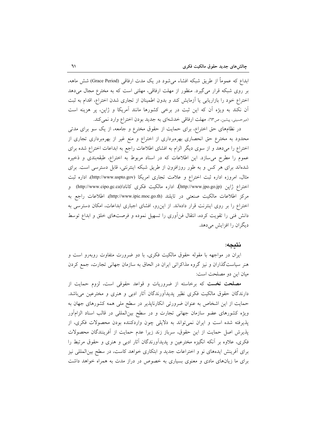ابداع که عموماً از طریق شبکه افشاء می شود در یک مدت ارفاقی (Grace Period) شش ماهه، بر روی شبکه قرار می گیرد. منظور از مهلت ارفاقی، مهلتی است که به مخترع مجال میدهد اختراع خود را بازاریابی یا آزمایش کند و بدون اطمینان از تجاری شدن اختراع، اقدام به ثبت آن نکند به ویژه آن که این ثبت در برخی کشورها مانند آمریکا و ژاپن، پر هزینه است (میرحسینی، پیشین، ص٦٣). مهلت ارفاقی خدشهای به جدید بودن اختراع وارد نمی کند.

در نظامهای حق اختراع، برای حمایت از حقوق مخترع و جامعه، از یک سو برای مدتی محدود به مخترع حق انحصاری بهرهبرداری از اختراع و منع غیر از بهرهبرداری تجاری از اختراع را میدهد و از سوی دیگر الزام به افشای اطلاعات راجع به ابداعات اختراع شده برای عموم را مطرح می سازد. این اطلاعات که در اسناد مربوط به اختراع، طبقهبندی و ذخیره شدهاند برای هر کس و به طور روزافزون از طریق شبکه اینترنتی، قابل دسترسی است. برای مثال، امروزه اداره ثبت اختراع و علامت تجارى امريكا (http://www.uspto.gov)، اداره ثبت اختراع ژاپن (http://www.jpo.go.jp)، اداره مالکیت فکری کانادا(http://www.cipo.gc.ca) و مركز اطلاعات مالكيت صنعتى در تايلند (http://www.ipic.moc.go.th)، اطلاعات راجع به اختراع را بر روی اینترنت قرار دادهاند. از این رو، افشای اجباری ابداعات، امکان دسترسی به دانش فنی را تقویت کرده، انتقال فنآوری را تسهیل نموده و فرصتهای خلق و ابداع توسط دیگران را افزایش می دهد.

#### نتىجە:

ایران در مواجهه با مقوله حقوق مالکیت فکری، با دو ضرورت متفاوت روبهرو است و هنر سیاستگذاران و نیز گروه مذاکراتی ایران در الحاق به سازمان جهانی تجارت، جمع کردن ميان اين دو مصلحت است:

مصلحت نخست که برخاسته از ضروریات و قواعد حقوقی است، لزوم حمایت از دارندگان حقوق مالکیت فکری نظیر پدیدآورندگان آثار ادبی و هنری و مخترعین میباشد. حمایت از این اشخاص به عنوان ضرورتی انکارناپذیر در سطح ملی همه کشورهای جهان به ویژه کشورهای عضو سازمان جهانی تجارت و در سطح بینالمللی در قالب اسناد الزامآور پذیرفته شده است و ایران نمی تواند به دلایلی چون واردکننده بودن محصولات فکری، از پذیرش اصل حمایت از این حقوق، سرباز زند زیرا عدم حمایت از آفرینندگان محصولات فکری، علاوه بر آنکه انگیزه مخترعین و پدیدآورندگان آثار ادبی و هنری و حقوق مرتبط را برای اَفرینش ایدههای نو و اختراعات جدید و ابتکاری خواهد کاست، در سطح بین|لمللی نیز برای ما زیانهای مادی و معنوی بسیاری به خصوص در دراز مدت به همراه خواهد داشت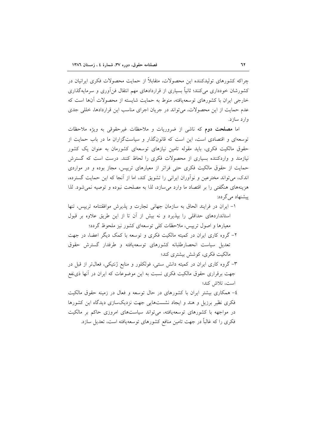چراکه کشورهای تولیدکننده این محصولات، متقابلاً از حمایت محصولات فکری ایرانیان در کشورشان خودداری می کنند؛ ثانیاً بسیاری از قراردادهای مهم انتقال فن آوری و سرمایه گذاری خارجی ایران با کشورهای توسعهیافته، منوط به حمایت شایسته از محصولات آنها است که عدم حمایت از این محصولات، میتواند در جریان اجرای مناسب این قراردادها، خللی جدی وار د ساز د.

اما مصلحت دوم که ناشی از ضروریات و ملاحظات غیرحقوقی به ویژه ملاحظات توسعهای و اقتصادی است، این است که قانونگذار و سیاستگزاران ما در باب حمایت از حقوق مالکیت فکری، باید مقوله تامین نیازهای توسعهای کشورمان به عنوان یک کشور نیازمند و واردکننده بسیاری از محصولات فکری را لحاظ کنند. درست است که گسترش حمایت از حقوق مالکیت فکری حتی فراتر از معیارهای تریپس، مجاز بوده و در مواردی اندک، می تواند مخترعین و نواّوران ایرانی را تشویق کند، اما از آنجا که این حمایت گسترده، هزینههای هنگفتی را بر اقتصاد ما وارد می سازد، لذا به مصلحت نبوده و توصیه نمی شود. لذا پیشنهاد می گردد:

- ١- ايران در فرايند الحاق به سازمان جهاني تجارت و يذيرش موافقتنامه ترييس، تنها استانداردهای حداقلی را بیذیرد و نه بیش از آن تا از این طریق علاوه بر قبول معیارها و اصول ترییس، ملاحظات کلی توسعهای کشور نیز ملحوظ گردد؛
- ۲- گروه کاری ایران در کمیته مالکیت فکری و توسعه با کمک دیگر اعضا، در جهت تعدیل سیاست انحصارطلبانه کشورهای توسعهیافته و طرفدار گسترش حقوق مالکیت فکری، کوشش بیشتری کند؛

۳- گروه کاری ایران در کمیته دانش سنتی، فولکلور و منابع ژنتیکی، فعال تر از قبل در جهت برقراری حقوق مالکیت فکری نسبت به این موضوعات که ایران در آنها ذیiفع است، تلاش كند؛

٤– همکاری بیشتر ایران با کشورهای در حال توسعه و فعال در زمینه حقوق مالکیت فکری نظیر برزیل و هند و ایجاد نشستهایی جهت نزدیکسازی دیدگاه این کشورها در مواجهه با کشورهای توسعهپافته، میتواند سیاستهای امروزی حاکم بر مالکیت فکری را که غالباً در جهت تامین منافع کشورهای توسعهیافته است، تعدیل سازد.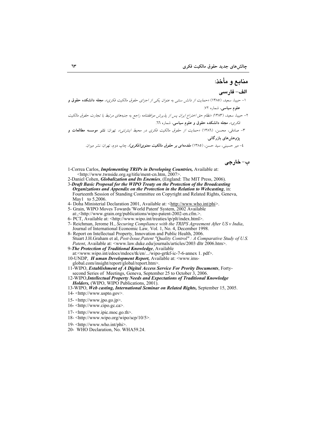# منابع و مأخذ:

#### الف– فارسى

- ۱– حبیبا، سعید، (۱۳۸۵) *«حمایت از دانش سنتبی به عنوان یکی از اجزای حقوق مالکیت فکری»*، **مجله دانشکده حقوق و** علوم سیاسی، شماره ۷۲.
- ۲– حبیبا، سعید، (۸۳۸۳) *«نظام حق اختراع ایران پس از پذیرش موافقتنامه راجع به جنبههای مرتبط با تجارت حقوق مالکیت* فكري»، مجله دانشكده حقوق و علوم سياسي، شماره ٦٦.
- ۳- صادقی، محسن، (۱۳۸٦) *«حمایت از حقوق مالکیت فکری در محیط اینترنتی»،* تهران: <mark>نشر موسسه مطالعات و</mark> یژوهش های بازرگانی.

٤- میر حسینی، سید حسن. (١٣٨٥) *مقدمهای بر حقوق مالکیت معنوی(فکری)*، چاپ دوم، تهران: نشر میزان.

ب- خارجي

- 1-Correa Carlos, *Implementing TRIPs in Developing Countries*, Available at: <http://www.twnside.org.sg/title/ment-cn.htm, 2007>
- 2-Daniel Cohen, *Globalization and Its Enemies*, (England: The MIT Press, 2006).
- 3-Draft Basic Proposal for the WIPO Treaty on the Protection of the Broadcasting Organizations and Appendix on the Protection in the Relation to Webcasting, in: Fourteenth Session of Standing Committee on Copyright and Related Rights, Geneva, May1 to 5.2006
- 4- Doha Ministerial Declaration 2001, Available at: <http://www.who.int/phi>.
- 5- Grain, WIPO Moves Towards 'World Patent' System, 2002 Available
- at:,<http://www.grain.org/publications/wipo-patent-2002-en.cfm.>
- 
- 6- PCT, Available at: <http://www.wipo.int/treaties/ip/plt/index.html>.<br>7- Reichman, Jerome H., *Securing Compliance with the TRIPS Agreement After US v India*, Journal of International Economic Law, Vol. 1, No. 4, Decembe
- 8- Report on Intellectual Property, Innovation and Public Health, 2006. Stuart J.H.Graham et al, *Post-Issue, Patent "Quality Control" : A Comparative Study of U.S.*<br>*Patent, Available at:* <www.law.duke.edu/journals/articles/2003 dltr 2006.htm>.
- 9-The Protection of Traditional Knowledge, Available
- at:<www.wipo.int/edocs/mdocs/tk/en/.../wipo-grtkf-ic-7-6-annex 1. pdf>. 10-UNDP, *H uman Development Report*, Available at: <www.ims
	- global.com/insight/report/global/report.htm>.
- 11-WIPO, Establishment of A Digital Access Service For Prority Documents, Fortysecond Series of Meetings, Geneva, September 25 to October 3, 2006.
- 12-WIPO, Intellectual Property Needs and Expectations of Traditional Knowledge Holders, (WIPO, WIPO Publications, 2001).
- 13-WIPO, Web casting, International Seminar on Related Rights, September 15, 2005.
- 14- <http://www.uspto.gov>.
- 15-<http://www.jpo.go.jp>.
- $16 \frac{\text{http://www.cipo.gc.ca>}{\text{http://www.cipo.gc.ca>}}$ .
- 17- <http://www.ipic.moc.go.th>.
- 18- <http://www.wipo.org/wipo/scp/10/5>.
- 19- $\frac{\text{th}}{\text{t}}$  //www.who.int/phi
- 20- WHO Declaration No WHA59 24